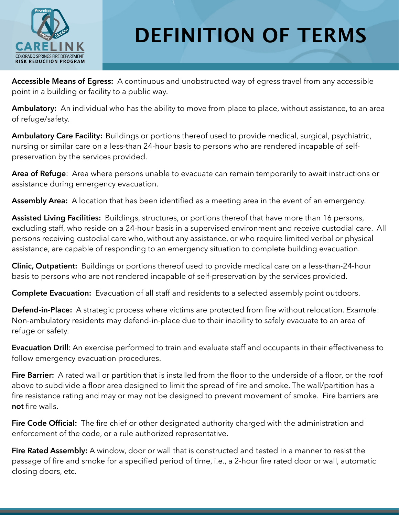

## **DEFINITION OF TERMS**

**Accessible Means of Egress:** A continuous and unobstructed way of egress travel from any accessible point in a building or facility to a public way.

**Ambulatory:** An individual who has the ability to move from place to place, without assistance, to an area of refuge/safety.

**Ambulatory Care Facility:** Buildings or portions thereof used to provide medical, surgical, psychiatric, nursing or similar care on a less-than 24-hour basis to persons who are rendered incapable of selfpreservation by the services provided.

**Area of Refuge**: Area where persons unable to evacuate can remain temporarily to await instructions or assistance during emergency evacuation.

**Assembly Area:** A location that has been identified as a meeting area in the event of an emergency.

**Assisted Living Facilities:** Buildings, structures, or portions thereof that have more than 16 persons, excluding staff, who reside on a 24-hour basis in a supervised environment and receive custodial care. All persons receiving custodial care who, without any assistance, or who require limited verbal or physical assistance, are capable of responding to an emergency situation to complete building evacuation.

**Clinic, Outpatient:** Buildings or portions thereof used to provide medical care on a less-than-24-hour basis to persons who are not rendered incapable of self-preservation by the services provided.

**Complete Evacuation:** Evacuation of all staff and residents to a selected assembly point outdoors.

**Defend-in-Place:** A strategic process where victims are protected from fire without relocation. *Example*: Non-ambulatory residents may defend-in-place due to their inability to safely evacuate to an area of refuge or safety.

**Evacuation Drill**: An exercise performed to train and evaluate staff and occupants in their effectiveness to follow emergency evacuation procedures.

**Fire Barrier:** A rated wall or partition that is installed from the floor to the underside of a floor, or the roof above to subdivide a floor area designed to limit the spread of fire and smoke. The wall/partition has a fire resistance rating and may or may not be designed to prevent movement of smoke. Fire barriers are **not** fire walls.

**Fire Code Official:** The fire chief or other designated authority charged with the administration and enforcement of the code, or a rule authorized representative.

**Fire Rated Assembly:** A window, door or wall that is constructed and tested in a manner to resist the passage of fire and smoke for a specified period of time, i.e., a 2-hour fire rated door or wall, automatic closing doors, etc.